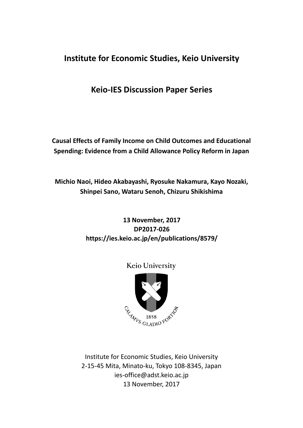# **Institute for Economic Studies, Keio University**

**Keio-IES Discussion Paper Series**

**Causal Effects of Family Income on Child Outcomes and Educational Spending: Evidence from a Child Allowance Policy Reform in Japan**

**Michio Naoi, Hideo Akabayashi, Ryosuke Nakamura, Kayo Nozaki, Shinpei Sano, Wataru Senoh, Chizuru Shikishima** 

## **13 November, 2017 DP2017-026 https://ies.keio.ac.jp/en/publications/8579/**



Keio University

Institute for Economic Studies, Keio University 2-15-45 Mita, Minato-ku, Tokyo 108-8345, Japan ies-office@adst.keio.ac.jp 13 November, 2017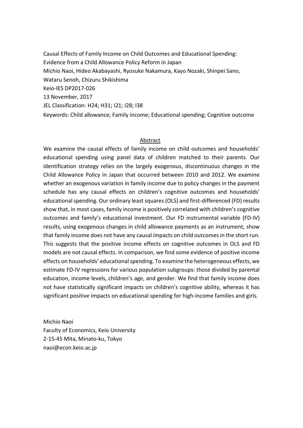Causal Effects of Family Income on Child Outcomes and Educational Spending: Evidence from a Child Allowance Policy Reform in Japan Michio Naoi, Hideo Akabayashi, Ryosuke Nakamura, Kayo Nozaki, Shinpei Sano, Wataru Senoh, Chizuru Shikishima Keio-IES DP2017-026 13 November, 2017 JEL Classification: H24; H31; I21; I28; I38 Keywords: Child allowance; Family income; Educational spending; Cognitive outcome

## Abstract

We examine the causal effects of family income on child outcomes and households' educational spending using panel data of children matched to their parents. Our identification strategy relies on the largely exogenous, discontinuous changes in the Child Allowance Policy in Japan that occurred between 2010 and 2012. We examine whether an exogenous variation in family income due to policy changes in the payment schedule has any causal effects on children's cognitive outcomes and households' educational spending. Our ordinary least squares (OLS) and first-differenced (FD) results show that, in most cases, family income is positively correlated with children's cognitive outcomes and family's educational investment. Our FD instrumental variable (FD-IV) results, using exogenous changes in child allowance payments as an instrument, show that family income does not have any causal impacts on child outcomes in the short run. This suggests that the positive income effects on cognitive outcomes in OLS and FD models are not causal effects. In comparison, we find some evidence of positive income effects on households' educational spending. To examine the heterogeneous effects, we estimate FD-IV regressions for various population subgroups: those divided by parental education, income levels, children's age, and gender. We find that family income does not have statistically significant impacts on children's cognitive ability, whereas it has significant positive impacts on educational spending for high-income families and girls.

Michio Naoi Faculty of Economics, Keio University 2-15-45 Mita, Minato-ku, Tokyo naoi@econ.keio.ac.jp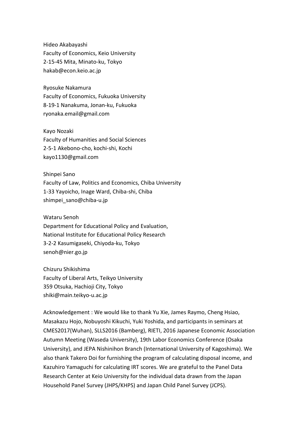Hideo Akabayashi Faculty of Economics, Keio University 2-15-45 Mita, Minato-ku, Tokyo hakab@econ.keio.ac.jp

Ryosuke Nakamura Faculty of Economics, Fukuoka University 8-19-1 Nanakuma, Jonan-ku, Fukuoka ryonaka.email@gmail.com

Kayo Nozaki Faculty of Humanities and Social Sciences 2-5-1 Akebono-cho, kochi-shi, Kochi kayo1130@gmail.com

Shinpei Sano Faculty of Law, Politics and Economics, Chiba University 1-33 Yayoicho, Inage Ward, Chiba-shi, Chiba shimpei\_sano@chiba-u.jp

Wataru Senoh Department for Educational Policy and Evaluation, National Institute for Educational Policy Research 3-2-2 Kasumigaseki, Chiyoda-ku, Tokyo senoh@nier.go.jp

Chizuru Shikishima Faculty of Liberal Arts, Teikyo University 359 Otsuka, Hachioji City, Tokyo shiki@main.teikyo-u.ac.jp

Acknowledgement : We would like to thank Yu Xie, James Raymo, Cheng Hsiao, Masakazu Hojo, Nobuyoshi Kikuchi, Yuki Yoshida, and participants in seminars at CMES2017(Wuhan), SLLS2016 (Bamberg), RIETI, 2016 Japanese Economic Association Autumn Meeting (Waseda University), 19th Labor Economics Conference (Osaka University), and JEPA Nishinihon Branch (International University of Kagoshima). We also thank Takero Doi for furnishing the program of calculating disposal income, and Kazuhiro Yamaguchi for calculating IRT scores. We are grateful to the Panel Data Research Center at Keio University for the individual data drawn from the Japan Household Panel Survey (JHPS/KHPS) and Japan Child Panel Survey (JCPS).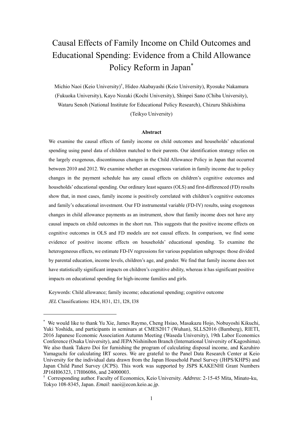# Causal Effects of Family Income on Child Outcomes and Educational Spending: Evidence from a Child Allowance Policy Reform in Japan\*

Michio Naoi (Keio University)† , Hideo Akabayashi (Keio University), Ryosuke Nakamura (Fukuoka University), Kayo Nozaki (Kochi University), Shinpei Sano (Chiba University), Wataru Senoh (National Institute for Educational Policy Research), Chizuru Shikishima (Teikyo University)

#### **Abstract**

We examine the causal effects of family income on child outcomes and households' educational spending using panel data of children matched to their parents. Our identification strategy relies on the largely exogenous, discontinuous changes in the Child Allowance Policy in Japan that occurred between 2010 and 2012. We examine whether an exogenous variation in family income due to policy changes in the payment schedule has any causal effects on children's cognitive outcomes and households' educational spending. Our ordinary least squares (OLS) and first-differenced (FD) results show that, in most cases, family income is positively correlated with children's cognitive outcomes and family's educational investment. Our FD instrumental variable (FD-IV) results, using exogenous changes in child allowance payments as an instrument, show that family income does not have any causal impacts on child outcomes in the short run. This suggests that the positive income effects on cognitive outcomes in OLS and FD models are not causal effects. In comparison, we find some evidence of positive income effects on households' educational spending. To examine the heterogeneous effects, we estimate FD-IV regressions for various population subgroups: those divided by parental education, income levels, children's age, and gender. We find that family income does not have statistically significant impacts on children's cognitive ability, whereas it has significant positive impacts on educational spending for high-income families and girls.

Keywords: Child allowance; family income; educational spending; cognitive outcome *JEL* Classifications: H24, H31, I21, I28, I38

<u>.</u>

<sup>\*</sup> We would like to thank Yu Xie, James Raymo, Cheng Hsiao, Masakazu Hojo, Nobuyoshi Kikuchi, Yuki Yoshida, and participants in seminars at CMES2017 (Wuhan), SLLS2016 (Bamberg), RIETI, 2016 Japanese Economic Association Autumn Meeting (Waseda University), 19th Labor Economics Conference (Osaka University), and JEPA Nishinihon Branch (International University of Kagoshima). We also thank Takero Doi for furnishing the program of calculating disposal income, and Kazuhiro Yamaguchi for calculating IRT scores. We are grateful to the Panel Data Research Center at Keio University for the individual data drawn from the Japan Household Panel Survey (JHPS/KHPS) and Japan Child Panel Survey (JCPS). This work was supported by JSPS KAKENHI Grant Numbers JP16H06323, 17H06086, and 24000003.

<sup>†</sup> Corresponding author. Faculty of Economics, Keio University. *Address*: 2-15-45 Mita, Minato-ku, Tokyo 108-8345, Japan. *Email*: naoi@econ.keio.ac.jp.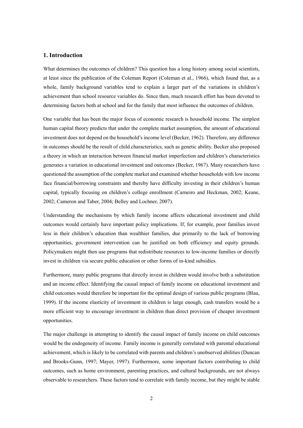#### **1. Introduction**

What determines the outcomes of children? This question has a long history among social scientists, at least since the publication of the Coleman Report (Coleman et al., 1966), which found that, as a whole, family background variables tend to explain a larger part of the variations in children's achievement than school resource variables do. Since then, much research effort has been devoted to determining factors both at school and for the family that most influence the outcomes of children.

One variable that has been the major focus of economic research is household income. The simplest human capital theory predicts that under the complete market assumption, the amount of educational investment does not depend on the household's income level (Becker, 1962). Therefore, any difference in outcomes should be the result of child characteristics, such as genetic ability. Becker also proposed a theory in which an interaction between financial market imperfection and children's characteristics generates a variation in educational investment and outcomes (Becker, 1967). Many researchers have questioned the assumption of the complete market and examined whether households with low income face financial/borrowing constraints and thereby have difficulty investing in their children's human capital, typically focusing on children's college enrollment (Carneiro and Heckman, 2002; Keane, 2002; Cameron and Taber, 2004; Belley and Lochner, 2007).

Understanding the mechanisms by which family income affects educational investment and child outcomes would certainly have important policy implications. If, for example, poor families invest less in their children's education than wealthier families, due primarily to the lack of borrowing opportunities, government intervention can be justified on both efficiency and equity grounds. Policymakers might then use programs that redistribute resources to low-income families or directly invest in children via secure public education or other forms of in-kind subsidies.

Furthermore, many public programs that directly invest in children would involve both a substitution and an income effect. Identifying the causal impact of family income on educational investment and child outcomes would therefore be important for the optimal design of various public programs (Blau, 1999). If the income elasticity of investment in children is large enough, cash transfers would be a more efficient way to encourage investment in children than direct provision of cheaper investment opportunities.

The major challenge in attempting to identify the causal impact of family income on child outcomes would be the endogeneity of income. Family income is generally correlated with parental educational achievement, which is likely to be correlated with parents and children's unobserved abilities (Duncan and Brooks-Gunn, 1997; Mayer, 1997). Furthermore, some important factors contributing to child outcomes, such as home environment, parenting practices, and cultural backgrounds, are not always observable to researchers. These factors tend to correlate with family income, but they might be stable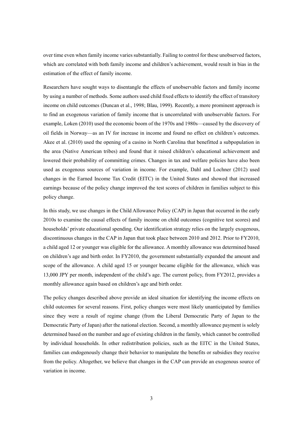over time even when family income varies substantially. Failing to control for these unobserved factors, which are correlated with both family income and children's achievement, would result in bias in the estimation of the effect of family income.

Researchers have sought ways to disentangle the effects of unobservable factors and family income by using a number of methods. Some authors used child fixed effects to identify the effect of transitory income on child outcomes (Duncan et al., 1998; Blau, 1999). Recently, a more prominent approach is to find an exogenous variation of family income that is uncorrelated with unobservable factors. For example, Løken (2010) used the economic boom of the 1970s and 1980s—caused by the discovery of oil fields in Norway—as an IV for increase in income and found no effect on children's outcomes. Akee et al. (2010) used the opening of a casino in North Carolina that benefitted a subpopulation in the area (Native American tribes) and found that it raised children's educational achievement and lowered their probability of committing crimes. Changes in tax and welfare policies have also been used as exogenous sources of variation in income. For example, Dahl and Lochner (2012) used changes in the Earned Income Tax Credit (EITC) in the United States and showed that increased earnings because of the policy change improved the test scores of children in families subject to this policy change.

In this study, we use changes in the Child Allowance Policy (CAP) in Japan that occurred in the early 2010s to examine the causal effects of family income on child outcomes (cognitive test scores) and households' private educational spending. Our identification strategy relies on the largely exogenous, discontinuous changes in the CAP in Japan that took place between 2010 and 2012. Prior to FY2010, a child aged 12 or younger was eligible for the allowance. A monthly allowance was determined based on children's age and birth order. In FY2010, the government substantially expanded the amount and scope of the allowance. A child aged 15 or younger became eligible for the allowance, which was 13,000 JPY per month, independent of the child's age. The current policy, from FY2012, provides a monthly allowance again based on children's age and birth order.

The policy changes described above provide an ideal situation for identifying the income effects on child outcomes for several reasons. First, policy changes were most likely unanticipated by families since they were a result of regime change (from the Liberal Democratic Party of Japan to the Democratic Party of Japan) after the national election. Second, a monthly allowance payment is solely determined based on the number and age of existing children in the family, which cannot be controlled by individual households. In other redistribution policies, such as the EITC in the United States, families can endogenously change their behavior to manipulate the benefits or subsidies they receive from the policy. Altogether, we believe that changes in the CAP can provide an exogenous source of variation in income.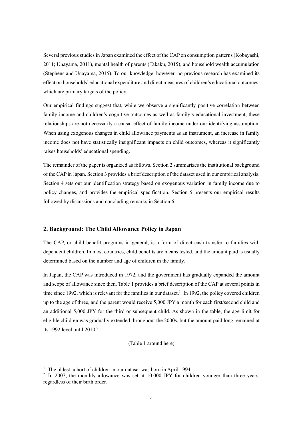Several previous studies in Japan examined the effect of the CAP on consumption patterns (Kobayashi, 2011; Unayama, 2011), mental health of parents (Takaku, 2015), and household wealth accumulation (Stephens and Unayama, 2015). To our knowledge, however, no previous research has examined its effect on households' educational expenditure and direct measures of children's educational outcomes, which are primary targets of the policy.

Our empirical findings suggest that, while we observe a significantly positive correlation between family income and children's cognitive outcomes as well as family's educational investment, these relationships are not necessarily a causal effect of family income under our identifying assumption. When using exogenous changes in child allowance payments as an instrument, an increase in family income does not have statistically insignificant impacts on child outcomes, whereas it significantly raises households' educational spending.

The remainder of the paper is organized as follows. Section 2 summarizes the institutional background of the CAP in Japan. Section 3 provides a brief description of the dataset used in our empirical analysis. Section 4 sets out our identification strategy based on exogenous variation in family income due to policy changes, and provides the empirical specification. Section 5 presents our empirical results followed by discussions and concluding remarks in Section 6.

#### **2. Background: The Child Allowance Policy in Japan**

The CAP, or child benefit programs in general, is a form of direct cash transfer to families with dependent children. In most countries, child benefits are means tested, and the amount paid is usually determined based on the number and age of children in the family.

In Japan, the CAP was introduced in 1972, and the government has gradually expanded the amount and scope of allowance since then. Table 1 provides a brief description of the CAP at several points in time since 1992, which is relevant for the families in our dataset.<sup>1</sup> In 1992, the policy covered children up to the age of three, and the parent would receive 5,000 JPY a month for each first/second child and an additional 5,000 JPY for the third or subsequent child. As shown in the table, the age limit for eligible children was gradually extended throughout the 2000s, but the amount paid long remained at its 1992 level until  $2010<sup>2</sup>$ 

(Table 1 around here)

-

<sup>&</sup>lt;sup>1</sup> The oldest cohort of children in our dataset was born in April 1994.

 $2 \text{ In } 2007$ , the monthly allowance was set at 10,000 JPY for children younger than three years, regardless of their birth order.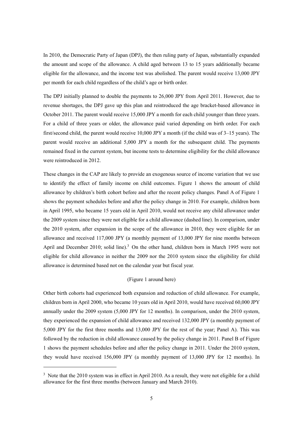In 2010, the Democratic Party of Japan (DPJ), the then ruling party of Japan, substantially expanded the amount and scope of the allowance. A child aged between 13 to 15 years additionally became eligible for the allowance, and the income test was abolished. The parent would receive 13,000 JPY per month for each child regardless of the child's age or birth order.

The DPJ initially planned to double the payments to 26,000 JPY from April 2011. However, due to revenue shortages, the DPJ gave up this plan and reintroduced the age bracket-based allowance in October 2011. The parent would receive 15,000 JPY a month for each child younger than three years. For a child of three years or older, the allowance paid varied depending on birth order. For each first/second child, the parent would receive 10,000 JPY a month (if the child was of 3–15 years). The parent would receive an additional 5,000 JPY a month for the subsequent child. The payments remained fixed in the current system, but income tests to determine eligibility for the child allowance were reintroduced in 2012.

These changes in the CAP are likely to provide an exogenous source of income variation that we use to identify the effect of family income on child outcomes. Figure 1 shows the amount of child allowance by children's birth cohort before and after the recent policy changes. Panel A of Figure 1 shows the payment schedules before and after the policy change in 2010. For example, children born in April 1995, who became 15 years old in April 2010, would not receive any child allowance under the 2009 system since they were not eligible for a child allowance (dashed line). In comparison, under the 2010 system, after expansion in the scope of the allowance in 2010, they were eligible for an allowance and received 117,000 JPY (a monthly payment of 13,000 JPY for nine months between April and December 2010; solid line).<sup>3</sup> On the other hand, children born in March 1995 were not eligible for child allowance in neither the 2009 nor the 2010 system since the eligibility for child allowance is determined based not on the calendar year but fiscal year.

#### (Figure 1 around here)

Other birth cohorts had experienced both expansion and reduction of child allowance. For example, children born in April 2000, who became 10 years old in April 2010, would have received 60,000 JPY annually under the 2009 system (5,000 JPY for 12 months). In comparison, under the 2010 system, they experienced the expansion of child allowance and received 132,000 JPY (a monthly payment of 5,000 JPY for the first three months and 13,000 JPY for the rest of the year; Panel A). This was followed by the reduction in child allowance caused by the policy change in 2011. Panel B of Figure 1 shows the payment schedules before and after the policy change in 2011. Under the 2010 system, they would have received 156,000 JPY (a monthly payment of 13,000 JPY for 12 months). In

<u>.</u>

<sup>&</sup>lt;sup>3</sup> Note that the 2010 system was in effect in April 2010. As a result, they were not eligible for a child allowance for the first three months (between January and March 2010).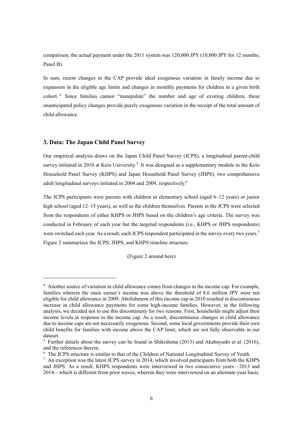comparison, the actual payment under the 2011 system was 120,000 JPY (10,000 JPY for 12 months; Panel B).

In sum, recent changes in the CAP provide ideal exogenous variation in family income due to expansion in the eligible age limits and changes in monthly payments for children in a given birth cohort.<sup>4</sup> Since families cannot "manipulate" the number and age of existing children, these unanticipated policy changes provide purely exogenous variation in the receipt of the total amount of child allowance.

#### **3. Data: The Japan Child Panel Survey**

<u>.</u>

Our empirical analysis draws on the Japan Child Panel Survey (JCPS), a longitudinal parent-child survey initiated in 2010 at Keio University.<sup>5</sup> It was designed as a supplementary module to the Keio Household Panel Survey (KHPS) and Japan Household Panel Survey (JHPS), two comprehensive adult longitudinal surveys initiated in 2004 and 2009, respectively.<sup>6</sup>

The JCPS participants were parents with children in elementary school (aged 6–12 years) or junior high school (aged 12–15 years), as well as the children themselves. Parents in the JCPS were selected from the respondents of either KHPS or JHPS based on the children's age criteria. The survey was conducted in February of each year but the targeted respondents (i.e., KHPS or JHPS respondents) were switched each year. As a result, each JCPS respondent participated in the survey every two years.<sup>7</sup> Figure 2 summarizes the JCPS, JHPS, and KHPS timeline structure.

(Figure 2 around here)

<sup>&</sup>lt;sup>4</sup> Another source of variation in child allowance comes from changes in the income cap. For example, families wherein the main earner's income was above the threshold of 8.6 million JPY were not eligible for child allowance in 2009. Abolishment of this income cap in 2010 resulted in discontinuous increase in child allowance payments for some high-income families. However, in the following analysis, we decided not to use this discontinuity for two reasons. First, households might adjust their income levels in response to the income cap. As a result, discontinuous changes in child allowance due to income caps are not necessarily exogenous. Second, some local governments provide their own child benefits for families with income above the CAP limit, which are not fully observable in our dataset.

<sup>&</sup>lt;sup>5</sup> Further details about the survey can be found in Shikishima (2013) and Akabayashi et al. (2016), and the references therein.

<sup>&</sup>lt;sup>6</sup> The JCPS structure is similar to that of the Children of National Longitudinal Survey of Youth.

 $<sup>7</sup>$  An exception was the latest JCPS survey in 2014, which involved participants from both the KHPS</sup> and JHPS. As a result, KHPS respondents were interviewed in two consecutive years—2013 and 2014—which is different from prior waves, wherein they were interviewed on an alternate-year basis.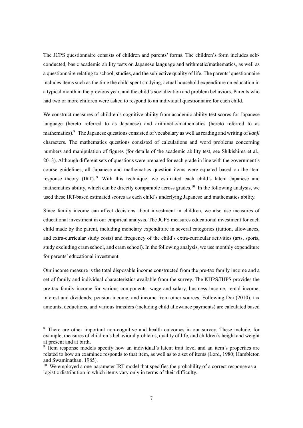The JCPS questionnaire consists of children and parents' forms. The children's form includes selfconducted, basic academic ability tests on Japanese language and arithmetic/mathematics, as well as a questionnaire relating to school, studies, and the subjective quality of life. The parents' questionnaire includes items such as the time the child spent studying, actual household expenditure on education in a typical month in the previous year, and the child's socialization and problem behaviors. Parents who had two or more children were asked to respond to an individual questionnaire for each child.

We construct measures of children's cognitive ability from academic ability test scores for Japanese language (hereto referred to as Japanese) and arithmetic/mathematics (hereto referred to as mathematics).8 The Japanese questions consisted of vocabulary as well as reading and writing of *kanji* characters. The mathematics questions consisted of calculations and word problems concerning numbers and manipulation of figures (for details of the academic ability test, see Shikishima et al., 2013). Although different sets of questions were prepared for each grade in line with the government's course guidelines, all Japanese and mathematics question items were equated based on the item response theory (IRT). <sup>9</sup> With this technique, we estimated each child's latent Japanese and mathematics ability, which can be directly comparable across grades.<sup>10</sup> In the following analysis, we used these IRT-based estimated scores as each child's underlying Japanese and mathematics ability.

Since family income can affect decisions about investment in children, we also use measures of educational investment in our empirical analysis. The JCPS measures educational investment for each child made by the parent, including monetary expenditure in several categories (tuition, allowances, and extra-curricular study costs) and frequency of the child's extra-curricular activities (arts, sports, study excluding cram school, and cram school). In the following analysis, we use monthly expenditure for parents' educational investment.

Our income measure is the total disposable income constructed from the pre-tax family income and a set of family and individual characteristics available from the survey. The KHPS/JHPS provides the pre-tax family income for various components: wage and salary, business income, rental income, interest and dividends, pension income, and income from other sources. Following Doi (2010), tax amounts, deductions, and various transfers (including child allowance payments) are calculated based

-

<sup>&</sup>lt;sup>8</sup> There are other important non-cognitive and health outcomes in our survey. These include, for example, measures of children's behavioral problems, quality of life, and children's height and weight at present and at birth.

<sup>&</sup>lt;sup>9</sup> Item response models specify how an individual's latent trait level and an item's properties are related to how an examinee responds to that item, as well as to a set of items (Lord, 1980; Hambleton and Swaminathan, 1985).

 $10$  We employed a one-parameter IRT model that specifies the probability of a correct response as a logistic distribution in which items vary only in terms of their difficulty.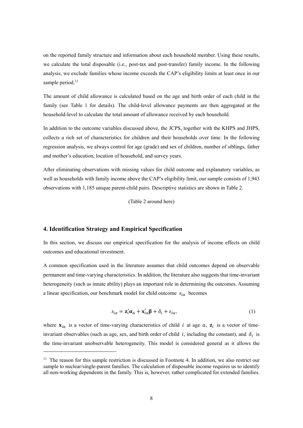on the reported family structure and information about each household member. Using these results, we calculate the total disposable (i.e., post-tax and post-transfer) family income. In the following analysis, we exclude families whose income exceeds the CAP's eligibility limits at least once in our sample period. $11$ 

The amount of child allowance is calculated based on the age and birth order of each child in the family (see Table 1 for details). The child-level allowance payments are then aggregated at the household-level to calculate the total amount of allowance received by each household.

In addition to the outcome variables discussed above, the JCPS, together with the KHPS and JHPS, collects a rich set of characteristics for children and their households over time. In the following regression analysis, we always control for age (grade) and sex of children, number of siblings, father and mother's education, location of household, and survey years.

After eliminating observations with missing values for child outcome and explanatory variables, as well as households with family income above the CAP's eligibility limit, our sample consists of 1,943 observations with 1,185 unique parent-child pairs. Descriptive statistics are shown in Table 2.

(Table 2 around here)

#### **4. Identification Strategy and Empirical Specification**

-

In this section, we discuss our empirical specification for the analysis of income effects on child outcomes and educational investment.

A common specification used in the literature assumes that child outcomes depend on observable permanent and time-varying characteristics. In addition, the literature also suggests that time-invariant heterogeneity (such as innate ability) plays an important role in determining the outcomes. Assuming a linear specification, our benchmark model for child outcome  $s_{ia}$  becomes

$$
s_{ia} = \mathbf{z}'_i \mathbf{\alpha}_a + \mathbf{x}'_{ia} \mathbf{\beta} + \delta_i + \varepsilon_{ia}, \tag{1}
$$

where  $\mathbf{x}_{ia}$  is a vector of time-varying characteristics of child *i* at age *a*,  $\mathbf{z}_i$  is a vector of timeinvariant observables (such as age, sex, and birth order of child  $i$ , including the constant), and  $\delta_i$  is the time-invariant unobservable heterogeneity. This model is considered general as it allows the

 $11$  The reason for this sample restriction is discussed in Footnote 4. In addition, we also restrict our sample to nuclear/single-parent families. The calculation of disposable income requires us to identify all non-working dependents in the family. This is, however, rather complicated for extended families.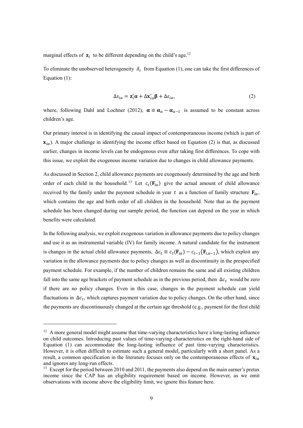marginal effects of  $\mathbf{z}_i$  to be different depending on the child's age.<sup>12</sup>

To eliminate the unobserved heterogeneity  $\delta_i$  from Equation (1), one can take the first differences of Equation (1):

$$
\Delta s_{ia} = \mathbf{z}'_i \boldsymbol{\alpha} + \Delta \mathbf{x}'_{ia} \boldsymbol{\beta} + \Delta \varepsilon_{ia},
$$
\n(2)

where, following Dahl and Lochner (2012),  $\alpha \equiv \alpha_a - \alpha_{a-1}$  is assumed to be constant across children's age.

Our primary interest is in identifying the causal impact of contemporaneous income (which is part of  $\mathbf{x}_{i,q}$ ). A major challenge in identifying the income effect based on Equation (2) is that, as discussed earlier, changes in income levels can be endogenous even after taking first differences. To cope with this issue, we exploit the exogenous income variation due to changes in child allowance payments.

As discussed in Section 2, child allowance payments are exogenously determined by the age and birth order of each child in the household.<sup>13</sup> Let  $c_t(\mathbf{F}_{ia})$  give the actual amount of child allowance received by the family under the payment schedule in year t as a function of family structure  $F_{ia}$ , which contains the age and birth order of all children in the household. Note that as the payment schedule has been changed during our sample period, the function can depend on the year in which benefits were calculated.

In the following analysis, we exploit exogenous variation in allowance payments due to policy changes and use it as an instrumental variable (IV) for family income. A natural candidate for the instrument is changes in the actual child allowance payments,  $\Delta c_t \equiv c_t(\mathbf{F}_{ia}) - c_{t-1}(\mathbf{F}_{i,a-1})$ , which exploit any variation in the allowance payments due to policy changes as well as discontinuity in the prespecified payment schedule. For example, if the number of children remains the same and all existing children fall into the same age brackets of payment schedule as in the previous period, then  $\Delta c_t$  would be zero if there are no policy changes. Even in this case, changes in the payment schedule can yield fluctuations in  $\Delta c_t$ , which captures payment variation due to policy changes. On the other hand, since the payments are discontinuously changed at the certain age threshold (e.g., payment for the first child

<u>.</u>

<sup>&</sup>lt;sup>12</sup> A more general model might assume that time-varying characteristics have a long-lasting influence on child outcomes. Introducing past values of time-varying characteristics on the right-hand side of Equation (1) can accommodate the long-lasting influence of past time-varying characteristics. However, it is often difficult to estimate such a general model, particularly with a short panel. As a result, a common specification in the literature focuses only on the contemporaneous effects of  $\mathbf{x}_{ia}$ and ignores any long-run effects.

<sup>&</sup>lt;sup>13</sup> Except for the period between 2010 and 2011, the payments also depend on the main earner's pretax income since the CAP has an eligibility requirement based on income. However, as we omit observations with income above the eligibility limit, we ignore this feature here.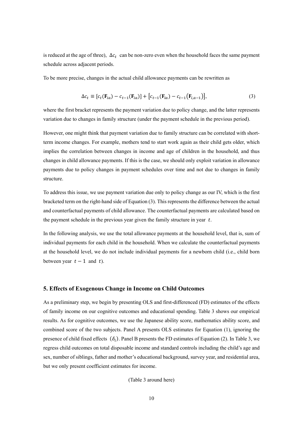is reduced at the age of three),  $\Delta c_t$  can be non-zero even when the household faces the same payment schedule across adjacent periods.

To be more precise, changes in the actual child allowance payments can be rewritten as

$$
\Delta c_t \equiv [c_t(\mathbf{F}_{ia}) - c_{t-1}(\mathbf{F}_{ia})] + [c_{t-1}(\mathbf{F}_{ia}) - c_{t-1}(\mathbf{F}_{i,a-1})], \tag{3}
$$

where the first bracket represents the payment variation due to policy change, and the latter represents variation due to changes in family structure (under the payment schedule in the previous period).

However, one might think that payment variation due to family structure can be correlated with shortterm income changes. For example, mothers tend to start work again as their child gets older, which implies the correlation between changes in income and age of children in the household, and thus changes in child allowance payments. If this is the case, we should only exploit variation in allowance payments due to policy changes in payment schedules over time and not due to changes in family structure.

To address this issue, we use payment variation due only to policy change as our IV, which is the first bracketed term on the right-hand side of Equation (3). This represents the difference between the actual and counterfactual payments of child allowance. The counterfactual payments are calculated based on the payment schedule in the previous year given the family structure in year  $t$ .

In the following analysis, we use the total allowance payments at the household level, that is, sum of individual payments for each child in the household. When we calculate the counterfactual payments at the household level, we do not include individual payments for a newborn child (i.e., child born between year  $t-1$  and t).

#### **5. Effects of Exogenous Change in Income on Child Outcomes**

As a preliminary step, we begin by presenting OLS and first-differenced (FD) estimates of the effects of family income on our cognitive outcomes and educational spending. Table 3 shows our empirical results. As for cognitive outcomes, we use the Japanese ability score, mathematics ability score, and combined score of the two subjects. Panel A presents OLS estimates for Equation (1), ignoring the presence of child fixed effects  $(\delta_i)$ . Panel B presents the FD estimates of Equation (2). In Table 3, we regress child outcomes on total disposable income and standard controls including the child's age and sex, number of siblings, father and mother's educational background, survey year, and residential area, but we only present coefficient estimates for income.

(Table 3 around here)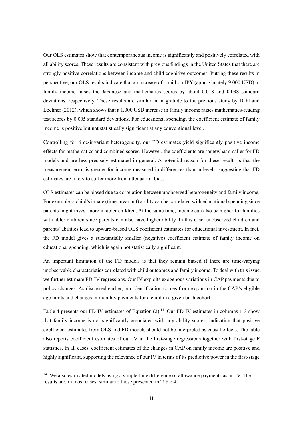Our OLS estimates show that contemporaneous income is significantly and positively correlated with all ability scores. These results are consistent with previous findings in the United States that there are strongly positive correlations between income and child cognitive outcomes. Putting these results in perspective, our OLS results indicate that an increase of 1 million JPY (approximately 9,000 USD) in family income raises the Japanese and mathematics scores by about 0.018 and 0.038 standard deviations, respectively. These results are similar in magnitude to the previous study by Dahl and Lochner (2012), which shows that a 1,000 USD increase in family income raises mathematics-reading test scores by 0.005 standard deviations. For educational spending, the coefficient estimate of family income is positive but not statistically significant at any conventional level.

Controlling for time-invariant heterogeneity, our FD estimates yield significantly positive income effects for mathematics and combined scores. However, the coefficients are somewhat smaller for FD models and are less precisely estimated in general. A potential reason for these results is that the measurement error is greater for income measured in differences than in levels, suggesting that FD estimates are likely to suffer more from attenuation bias.

OLS estimates can be biased due to correlation between unobserved heterogeneity and family income. For example, a child's innate (time-invariant) ability can be correlated with educational spending since parents might invest more in abler children. At the same time, income can also be higher for families with abler children since parents can also have higher ability. In this case, unobserved children and parents' abilities lead to upward-biased OLS coefficient estimates for educational investment. In fact, the FD model gives a substantially smaller (negative) coefficient estimate of family income on educational spending, which is again not statistically significant.

An important limitation of the FD models is that they remain biased if there are time-varying unobservable characteristics correlated with child outcomes and family income. To deal with this issue, we further estimate FD-IV regressions. Our IV exploits exogenous variations in CAP payments due to policy changes. As discussed earlier, our identification comes from expansion in the CAP's eligible age limits and changes in monthly payments for a child in a given birth cohort.

Table 4 presents our FD-IV estimates of Equation  $(2)$ .<sup>14</sup> Our FD-IV estimates in columns 1-3 show that family income is not significantly associated with any ability scores, indicating that positive coefficient estimates from OLS and FD models should not be interpreted as causal effects. The table also reports coefficient estimates of our IV in the first-stage regressions together with first-stage F statistics. In all cases, coefficient estimates of the changes in CAP on family income are positive and highly significant, supporting the relevance of our IV in terms of its predictive power in the first-stage

<u>.</u>

 $14$  We also estimated models using a simple time difference of allowance payments as an IV. The results are, in most cases, similar to those presented in Table 4.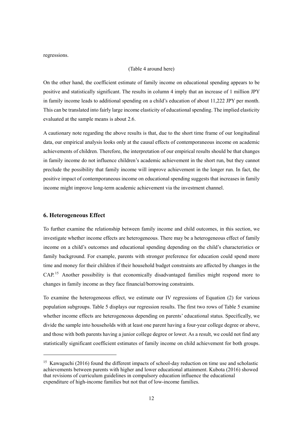regressions.

#### (Table 4 around here)

On the other hand, the coefficient estimate of family income on educational spending appears to be positive and statistically significant. The results in column 4 imply that an increase of 1 million JPY in family income leads to additional spending on a child's education of about 11,222 JPY per month. This can be translated into fairly large income elasticity of educational spending. The implied elasticity evaluated at the sample means is about 2.6.

A cautionary note regarding the above results is that, due to the short time frame of our longitudinal data, our empirical analysis looks only at the causal effects of contemporaneous income on academic achievements of children. Therefore, the interpretation of our empirical results should be that changes in family income do not influence children's academic achievement in the short run, but they cannot preclude the possibility that family income will improve achievement in the longer run. In fact, the positive impact of contemporaneous income on educational spending suggests that increases in family income might improve long-term academic achievement via the investment channel.

#### **6. Heterogeneous Effect**

-

To further examine the relationship between family income and child outcomes, in this section, we investigate whether income effects are heterogeneous. There may be a heterogeneous effect of family income on a child's outcomes and educational spending depending on the child's characteristics or family background. For example, parents with stronger preference for education could spend more time and money for their children if their household budget constraints are affected by changes in the CAP. 15 Another possibility is that economically disadvantaged families might respond more to changes in family income as they face financial/borrowing constraints.

To examine the heterogeneous effect, we estimate our IV regressions of Equation (2) for various population subgroups. Table 5 displays our regression results. The first two rows of Table 5 examine whether income effects are heterogeneous depending on parents' educational status. Specifically, we divide the sample into households with at least one parent having a four-year college degree or above, and those with both parents having a junior college degree or lower. As a result, we could not find any statistically significant coefficient estimates of family income on child achievement for both groups.

<sup>&</sup>lt;sup>15</sup> Kawaguchi (2016) found the different impacts of school-day reduction on time use and scholastic achievements between parents with higher and lower educational attainment. Kubota (2016) showed that revisions of curriculum guidelines in compulsory education influence the educational expenditure of high-income families but not that of low-income families.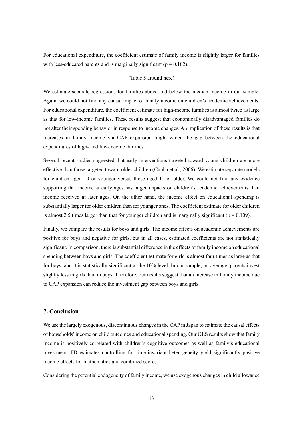For educational expenditure, the coefficient estimate of family income is slightly larger for families with less-educated parents and is marginally significant ( $p = 0.102$ ).

#### (Table 5 around here)

We estimate separate regressions for families above and below the median income in our sample. Again, we could not find any causal impact of family income on children's academic achievements. For educational expenditure, the coefficient estimate for high-income families is almost twice as large as that for low-income families. These results suggest that economically disadvantaged families do not alter their spending behavior in response to income changes. An implication of these results is that increases in family income via CAP expansion might widen the gap between the educational expenditures of high- and low-income families.

Several recent studies suggested that early interventions targeted toward young children are more effective than those targeted toward older children (Cunha et al., 2006). We estimate separate models for children aged 10 or younger versus those aged 11 or older. We could not find any evidence supporting that income at early ages has larger impacts on children's academic achievements than income received at later ages. On the other hand, the income effect on educational spending is substantially larger for older children than for younger ones. The coefficient estimate for older children is almost 2.5 times larger than that for younger children and is marginally significant ( $p = 0.109$ ).

Finally, we compare the results for boys and girls. The income effects on academic achievements are positive for boys and negative for girls, but in all cases, estimated coefficients are not statistically significant. In comparison, there is substantial difference in the effects of family income on educational spending between boys and girls. The coefficient estimate for girls is almost four times as large as that for boys, and it is statistically significant at the 10% level. In our sample, on average, parents invest slightly less in girls than in boys. Therefore, our results suggest that an increase in family income due to CAP expansion can reduce the investment gap between boys and girls.

#### **7. Conclusion**

We use the largely exogenous, discontinuous changes in the CAP in Japan to estimate the causal effects of households' income on child outcomes and educational spending. Our OLS results show that family income is positively correlated with children's cognitive outcomes as well as family's educational investment. FD estimates controlling for time-invariant heterogeneity yield significantly positive income effects for mathematics and combined scores.

Considering the potential endogeneity of family income, we use exogenous changes in child allowance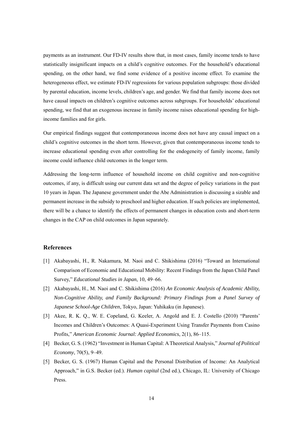payments as an instrument. Our FD-IV results show that, in most cases, family income tends to have statistically insignificant impacts on a child's cognitive outcomes. For the household's educational spending, on the other hand, we find some evidence of a positive income effect. To examine the heterogeneous effect, we estimate FD-IV regressions for various population subgroups: those divided by parental education, income levels, children's age, and gender. We find that family income does not have causal impacts on children's cognitive outcomes across subgroups. For households' educational spending, we find that an exogenous increase in family income raises educational spending for highincome families and for girls.

Our empirical findings suggest that contemporaneous income does not have any causal impact on a child's cognitive outcomes in the short term. However, given that contemporaneous income tends to increase educational spending even after controlling for the endogeneity of family income, family income could influence child outcomes in the longer term.

Addressing the long-term influence of household income on child cognitive and non-cognitive outcomes, if any, is difficult using our current data set and the degree of policy variations in the past 10 years in Japan. The Japanese government under the Abe Administration is discussing a sizable and permanent increase in the subsidy to preschool and higher education. If such policies are implemented, there will be a chance to identify the effects of permanent changes in education costs and short-term changes in the CAP on child outcomes in Japan separately.

#### **References**

- [1] Akabayashi, H., R. Nakamura, M. Naoi and C. Shikishima (2016) "Toward an International Comparison of Economic and Educational Mobility: Recent Findings from the Japan Child Panel Survey," *Educational Studies in Japan*, 10, 49–66.
- [2] Akabayashi, H., M. Naoi and C. Shikishima (2016) *An Economic Analysis of Academic Ability, Non-Cognitive Ability, and Family Background: Primary Findings from a Panel Survey of Japanese School-Age Children*, Tokyo, Japan: Yuhikaku (in Japanese).
- [3] Akee, R. K. Q., W. E. Copeland, G. Keeler, A. Angold and E. J. Costello (2010) "Parents' Incomes and Children's Outcomes: A Quasi-Experiment Using Transfer Payments from Casino Profits," *American Economic Journal: Applied Economics*, 2(1), 86–115.
- [4] Becker, G. S. (1962) "Investment in Human Capital: A Theoretical Analysis," *Journal of Political Economy*, 70(5), 9–49.
- [5] Becker, G. S. (1967) Human Capital and the Personal Distribution of Income: An Analytical Approach," in G.S. Becker (ed.). *Human capital* (2nd ed.), Chicago, IL: University of Chicago Press.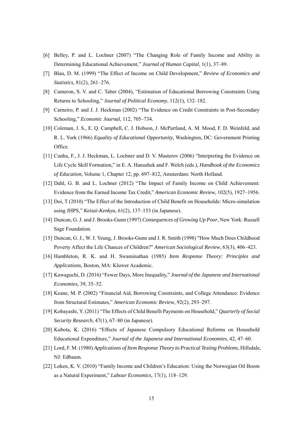- [6] Belley, P. and L. Lochner (2007) "The Changing Role of Family Income and Ability in Determining Educational Achievement," *Journal of Human Capital*, 1(1), 37–89.
- [7] Blau, D. M. (1999) "The Effect of Income on Child Development," *Review of Economics and Statistics*, 81(2), 261–276.
- [8] Cameron, S. V. and C. Taber (2004), "Estimation of Educational Borrowing Constraints Using Returns to Schooling," *Journal of Political Economy*, 112(1), 132–182.
- [9] Carneiro, P. and J. J. Heckman (2002) "The Evidence on Credit Constraints in Post-Secondary Schooling," *Economic Journal*, 112, 705–734.
- [10] Coleman, J. S., E. Q. Campbell, C. J. Hobson, J. McPartland, A. M. Mood, F. D. Weinfeld, and R. L. York (1966) *Equality of Educational Opportunity*, Washington, DC: Government Printing Office.
- [11] Cunha, F., J. J. Heckman, L. Lochner and D. V. Masterov (2006) "Interpreting the Evidence on Life Cycle Skill Formation," in E. A. Hanushek and F. Welch (eds.), *Handbook of the Economics of Education*, Volume 1, Chapter 12, pp. 697–812, Amsterdam: North Holland.
- [12] Dahl, G. B. and L. Lochner (2012) "The Impact of Family Income on Child Achievement: Evidence from the Earned Income Tax Credit," *American Economic Review*, 102(5), 1927–1956.
- [13] Doi, T (2010) "The Effect of the Introduction of Child Benefit on Households: Micro-simulation using JHPS," *Keizai-Kenkyu*, 61(2), 137–153 (in Japanese).
- [14] Duncan, G. J. and J. Brooks-Gunn (1997) *Consequences of Growing Up Poor*, New York: Russell Sage Foundation.
- [15] Duncan, G. J., W. J. Yeung, J. Brooks-Gunn and J. R. Smith (1998) "How Much Does Childhood Poverty Affect the Life Chances of Children?" *American Sociological Review*, 63(3), 406–423.
- [16] Hambleton, R. K. and H. Swaminathan (1985) *Item Response Theory: Principles and Applications*, Boston, MA: Kluwer Academic.
- [17] Kawaguchi, D. (2016) "Fewer Days, More Inequality," *Journal of the Japanese and International Economies*, 39, 35–52.
- [18] Keane, M. P. (2002) "Financial Aid, Borrowing Constraints, and College Attendance: Evidence from Structural Estimates," *American Economic Review*, 92(2), 293–297.
- [19] Kobayashi, Y. (2011) "The Effects of Child Benefit Payments on Household," *Quarterly of Social Security Research*, 47(1), 67–80 (in Japanese).
- [20] Kubota, K. (2016) "Effects of Japanese Compulsory Educational Reforms on Household Educational Expenditure," *Journal of the Japanese and International Economies*, 42, 47–60.
- [21] Lord, F. M. (1980) *Applications of Item Response Theory to Practical Testing Problems*, Hillsdale, NJ: Edbaum.
- [22] Løken, K. V. (2010) "Family Income and Children's Education: Using the Norwegian Oil Boom as a Natural Experiment," *Labour Economics*, 17(1), 118–129.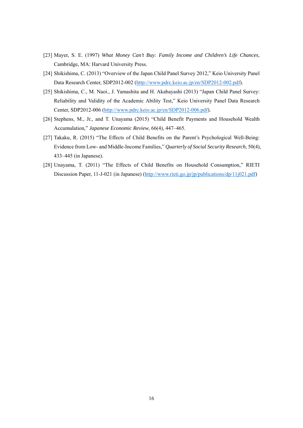- [23] Mayer, S. E. (1997) *What Money Can't Buy: Family Income and Children's Life Chances*, Cambridge, MA: Harvard University Press.
- [24] Shikishima, C. (2013) "Overview of the Japan Child Panel Survey 2012," Keio University Panel Data Research Center, SDP2012-002 (http://www.pdrc.keio.ac.jp/en/SDP2012-002.pdf).
- [25] Shikishima, C., M. Naoi., J. Yamashita and H. Akabayashi (2013) "Japan Child Panel Survey: Reliability and Validity of the Academic Ability Test," Keio University Panel Data Research Center, SDP2012-006 (http://www.pdrc.keio.ac.jp/en/SDP2012-006.pdf).
- [26] Stephens, M., Jr., and T. Unayama (2015) "Child Benefit Payments and Household Wealth Accumulation," *Japanese Economic Review*, 66(4), 447–465.
- [27] Takaku, R. (2015) "The Effects of Child Benefits on the Parent's Psychological Well-Being: Evidence from Low- and Middle-Income Families," *Quarterly of Social Security Research*, 50(4), 433–445 (in Japanese).
- [28] Unayama, T. (2011) "The Effects of Child Benefits on Household Consumption," RIETI Discussion Paper, 11-J-021 (in Japanese) (http://www.rieti.go.jp/jp/publications/dp/11j021.pdf)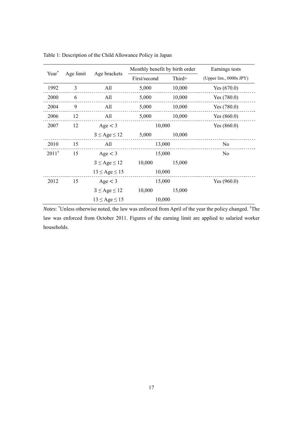| Year <sup>*</sup> | Age limit | Age brackets          |              | Monthly benefit by birth order | Earnings tests          |  |
|-------------------|-----------|-----------------------|--------------|--------------------------------|-------------------------|--|
|                   |           |                       | First/second | Third+                         | (Upper lim., 0000s JPY) |  |
| 1992              | 3         | All                   | 5,000        | 10,000                         | Yes $(670.0)$           |  |
| 2000              | 6         | All                   | 5,000        | 10,000                         | Yes $(780.0)$           |  |
| 2004              | 9         | All                   | 5,000        | 10,000                         | Yes $(780.0)$           |  |
| 2006              | 12        | All                   | 5,000        | 10,000                         | Yes $(860.0)$           |  |
| 2007              | 12        | Age < 3               | 10,000       |                                | Yes $(860.0)$           |  |
|                   |           | $3 \leq Age \leq 12$  | 5,000        | 10,000                         |                         |  |
| 2010              | 15        | All                   |              | 13,000                         | No                      |  |
| $2011^{\dagger}$  | 15        | Age < 3               |              | 15,000                         | No                      |  |
|                   |           | $3 \leq Age \leq 12$  | 10,000       | 15,000                         |                         |  |
|                   |           | $13 \leq Age \leq 15$ |              | 10,000                         |                         |  |
| 2012              | 15        | Age < 3               | 15,000       |                                | Yes $(960.0)$           |  |
|                   |           | $3 \leq Age \leq 12$  | 10,000       | 15,000                         |                         |  |
|                   |           | $13 \leq Age \leq 15$ |              | 10,000                         |                         |  |

Table 1: Description of the Child Allowance Policy in Japan

Notes: \*Unless otherwise noted, the law was enforced from April of the year the policy changed. <sup>†</sup>The law was enforced from October 2011. Figures of the earning limit are applied to salaried worker households.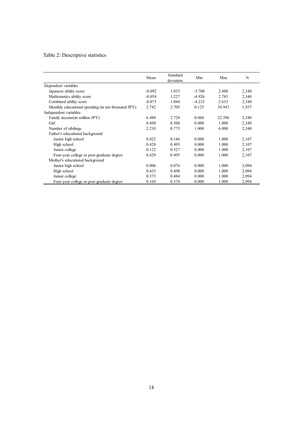## Table 2: Descriptive statistics

|                                                    | Mean     | Standard<br>deviation | Min      | Max    | N     |
|----------------------------------------------------|----------|-----------------------|----------|--------|-------|
| Dependent variables                                |          |                       |          |        |       |
| Japanese ability score                             | $-0.092$ | 1.033                 | $-3.708$ | 2.480  | 2,340 |
| Mathematics ability score                          | $-0.054$ | 1.227                 | $-4.926$ | 2.785  | 2,340 |
| Combined ability score                             | $-0.073$ | 1.044                 | $-4.232$ | 2.633  | 2,340 |
| Monthly educational spending (in ten thousand JPY) | 2.742    | 2.705                 | 0.125    | 34.947 | 1,937 |
| Independent variables                              |          |                       |          |        |       |
| Family income (in million JPY)                     | 6.480    | 2.728                 | 0.060    | 22.396 | 2,340 |
| Girl                                               | 0.490    | 0.500                 | 0.000    | 1.000  | 2,340 |
| Number of sibilings                                | 2.210    | 0.773                 | 1.000    | 6.000  | 2,340 |
| Father's educational background                    |          |                       |          |        |       |
| Junior high school                                 | 0.022    | 0.146                 | 0.000    | 1.000  | 2,107 |
| High school                                        | 0.428    | 0.495                 | 0.000    | 1.000  | 2,107 |
| Junior college                                     | 0.122    | 0.327                 | 0.000    | 1.000  | 2,107 |
| Four-year college or post-graduate degree          | 0.429    | 0.495                 | 0.000    | 1.000  | 2,107 |
| Mother's educational background                    |          |                       |          |        |       |
| Junior high school                                 | 0.006    | 0.076                 | 0.000    | 1.000  | 2,094 |
| High school                                        | 0.453    | 0.498                 | 0.000    | 1.000  | 2,094 |
| Junior college                                     | 0.373    | 0.484                 | 0.000    | 1.000  | 2,094 |
| Four-year college or post-graduate degree          | 0.169    | 0.374                 | 0.000    | 1.000  | 2,094 |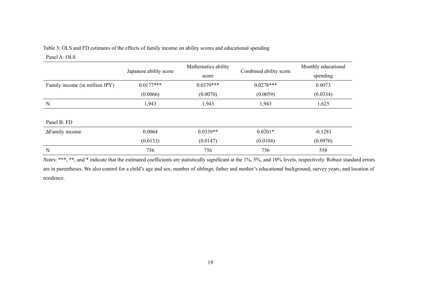## Table 3: OLS and FD estimates of the effects of family income on ability scores and educational spending

#### Panel A: OLS

|                                | Japanese ability score | Mathematics ability<br>score | Combined ability score | Monthly educational<br>spending |
|--------------------------------|------------------------|------------------------------|------------------------|---------------------------------|
| Family income (in million JPY) | $0.0177***$            | $0.0379***$                  | $0.0278***$            | 0.0073                          |
|                                | (0.0066)               | (0.0070)                     | (0.0059)               | (0.0334)                        |
| N                              | 1,943                  | 1,943                        | 1,943                  | 1,625                           |
|                                |                        |                              |                        |                                 |
| Panel B: FD                    |                        |                              |                        |                                 |
| $\Delta$ Family income         | 0.0064                 | $0.0339**$                   | $0.0201*$              | $-0.1281$                       |
|                                | (0.0133)               | (0.0147)                     | (0.0104)               | (0.0970)                        |
| N                              | 756                    | 756                          | 756                    | 558                             |

*Notes*: \*\*\*, \*\*, and \* indicate that the estimated coefficients are statistically significant at the 1%, 5%, and 10% levels, respectively. Robust standard errors are in parentheses. We also control for a child's age and sex, number of siblings, father and mother's educational background, survey years, and location of residence.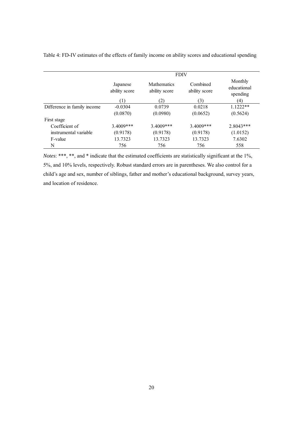|                             | <b>FDIV</b>               |                                     |                           |                                    |  |
|-----------------------------|---------------------------|-------------------------------------|---------------------------|------------------------------------|--|
|                             | Japanese<br>ability score | <b>Mathematics</b><br>ability score | Combined<br>ability score | Monthly<br>educational<br>spending |  |
|                             | Ŧ                         | (2)                                 | (3)                       | (4)                                |  |
| Difference in family income | $-0.0304$                 | 0.0739                              | 0.0218                    | $1.1222**$                         |  |
|                             | (0.0870)                  | (0.0980)                            | (0.0652)                  | (0.5624)                           |  |
| First stage                 |                           |                                     |                           |                                    |  |
| Coefficient of              | 3.4009***                 | $3.4009***$                         | 3.4009***                 | $2.8043***$                        |  |
| instrumental variable       | (0.9178)                  | (0.9178)                            | (0.9178)                  | (1.0152)                           |  |
| F-value                     | 13.7323                   | 13.7323                             | 13.7323                   | 7.6302                             |  |
| N                           | 756                       | 756                                 | 756                       | 558                                |  |

Table 4: FD-IV estimates of the effects of family income on ability scores and educational spending

*Notes*: \*\*\*, \*\*, and \* indicate that the estimated coefficients are statistically significant at the 1%, 5%, and 10% levels, respectively. Robust standard errors are in parentheses. We also control for a child's age and sex, number of siblings, father and mother's educational background, survey years, and location of residence.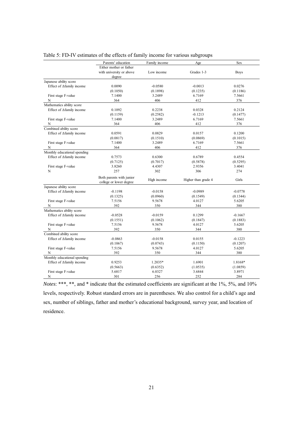|                              | Parents' education       | Family income | Age                 | Sex         |  |
|------------------------------|--------------------------|---------------|---------------------|-------------|--|
|                              | Either mother or father  |               |                     |             |  |
|                              | with university or above | Low income    | Grades 1-3          | <b>Boys</b> |  |
|                              | degree                   |               |                     |             |  |
| Japanese ability score       |                          |               |                     |             |  |
| Effect of ∆family income     | 0.0090                   | $-0.0580$     | $-0.0013$           | 0.0276      |  |
|                              | (0.1050)                 | (0.1898)      | (0.1235)            | (0.1186)    |  |
| First stage F-value          | 7.1400                   | 3.2489        | 6.7169              | 7.5661      |  |
| N                            | 364                      | 406           | 412                 | 376         |  |
| Mathematics ability score    |                          |               |                     |             |  |
| Effect of ∆family income     | 0.1092                   | 0.2238        | 0.0328              | 0.2124      |  |
|                              | (0.1159)                 | (0.2582)      | $-0.1213$           | (0.1477)    |  |
| First stage F-value          | 7.1400                   | 3.2489        | 6.7169              | 7.5661      |  |
| N                            | 364                      | 406           | 412                 | 376         |  |
| Combined ability score       |                          |               |                     |             |  |
| Effect of ∆family income     | 0.0591                   | 0.0829        | 0.0157              | 0.1200      |  |
|                              | (0.0817)                 | (0.1510)      | (0.0869)            | (0.1015)    |  |
| First stage F-value          | 7.1400                   | 3.2489        | 6.7169              | 7.5661      |  |
| N                            | 364                      | 406           | 412                 | 376         |  |
| Monthly educational spending |                          |               |                     |             |  |
| Effect of ∆family income     | 0.7573                   | 0.6300        | 0.6789              | 0.4554      |  |
|                              | (0.7125)                 | (0.7017)      | (0.5878)            | (0.5295)    |  |
| First stage F-value          | 3.8260                   | 4.4307        | 2.9356              | 3.4041      |  |
| N                            | 257                      | 302           | 306                 | 274         |  |
|                              |                          |               |                     |             |  |
|                              | Both parents with junior | High income   | Higher than grade 4 | Girls       |  |
| Japanese ability score       | college or lower degree  |               |                     |             |  |
|                              |                          |               |                     |             |  |
| Effect of ∆family income     | $-0.1198$                | $-0.0158$     | $-0.0989$           | $-0.0778$   |  |
|                              | (0.1325)                 | (0.0960)      | (0.1549)            | (0.1344)    |  |
| First stage F-value          | 7.5156                   | 9.5678        | 4.0127              | 5.6205      |  |
| N                            | 392                      | 350           | 344                 | 380         |  |
| Mathematics ability score    |                          |               |                     |             |  |
| Effect of ∆family income     | $-0.0528$                | $-0.0159$     | 0.1299              | $-0.1667$   |  |
|                              | (0.1551)                 | (0.1062)      | (0.1847)            | (0.1883)    |  |
| First stage F-value          | 7.5156                   | 9.5678        | 4.0127              | 5.6205      |  |
| N                            | 392                      | 350           | 344                 | 380         |  |
| Combined ability score       |                          |               |                     |             |  |
| Effect of ∆family income     | $-0.0863$                | $-0.0158$     | 0.0155              | $-0.1223$   |  |
|                              | (0.1067)                 | (0.0743)      | (0.1150)            | (0.1207)    |  |
| First stage F-value          | 7.5156                   | 9.5678        | 4.0127              | 5.6205      |  |
| N                            | 392                      | 350           | 344                 | 380         |  |
| Monthly educational spending |                          |               |                     |             |  |
| Effect of ∆family income     | 0.9253                   | 1.2035*       | 1.6901              | 1.8168*     |  |
|                              | (0.5663)                 | (0.6352)      | (1.0535)            | (1.0859)    |  |
| First stage F-value          | 5.6817                   | 6.0327        | 3.6844              | 3.8971      |  |
| N                            | 301                      | 256           | 252                 | 284         |  |

| Table 5: FD-IV estimates of the effects of family income for various subgroups |  |  |  |
|--------------------------------------------------------------------------------|--|--|--|
|                                                                                |  |  |  |

*Notes*: \*\*\*, \*\*, and \* indicate that the estimated coefficients are significant at the 1%, 5%, and 10% levels, respectively. Robust standard errors are in parentheses. We also control for a child's age and sex, number of siblings, father and mother's educational background, survey year, and location of residence.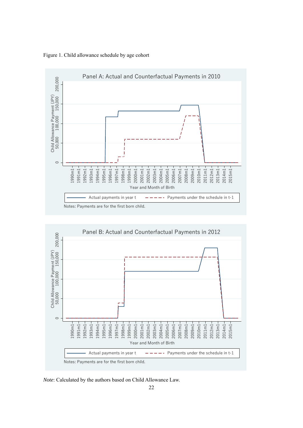

Figure 1. Child allowance schedule by age cohort



*Note*: Calculated by the authors based on Child Allowance Law.